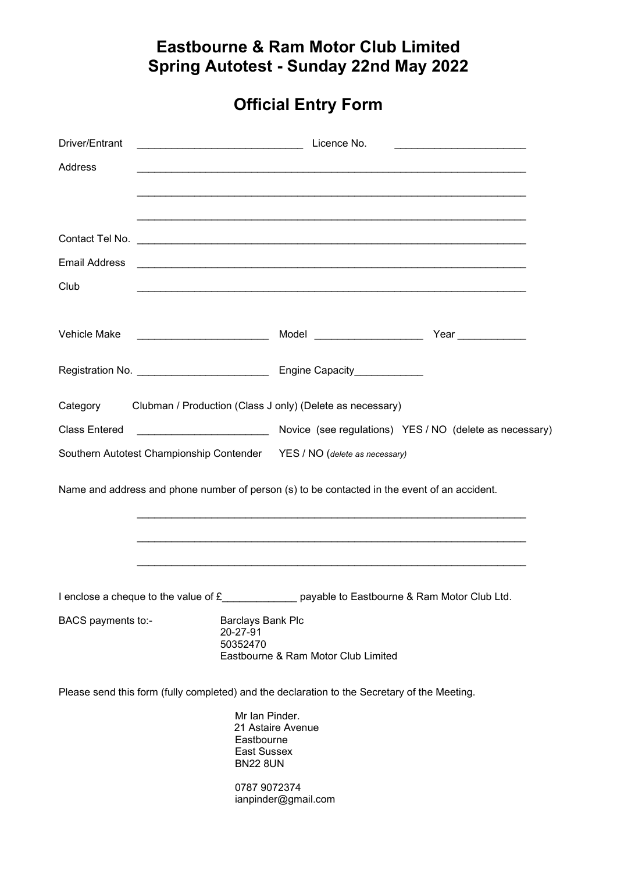## Eastbourne & Ram Motor Club Limited Spring Autotest - Sunday 22nd May 2022

## Official Entry Form

| Driver/Entrant       | Licence No.                                                                                     |  |  |  |  |
|----------------------|-------------------------------------------------------------------------------------------------|--|--|--|--|
| Address              | <u> 1989 - Johann Stoff, amerikansk politiker (d. 1989)</u>                                     |  |  |  |  |
|                      |                                                                                                 |  |  |  |  |
|                      |                                                                                                 |  |  |  |  |
|                      |                                                                                                 |  |  |  |  |
| <b>Email Address</b> |                                                                                                 |  |  |  |  |
| Club                 |                                                                                                 |  |  |  |  |
| Vehicle Make         | Model ________________________<br>Year                                                          |  |  |  |  |
|                      |                                                                                                 |  |  |  |  |
|                      | Category Clubman / Production (Class J only) (Delete as necessary)                              |  |  |  |  |
| <b>Class Entered</b> | Novice (see regulations) YES / NO (delete as necessary)                                         |  |  |  |  |
|                      | Southern Autotest Championship Contender YES / NO (delete as necessary)                         |  |  |  |  |
|                      | Name and address and phone number of person (s) to be contacted in the event of an accident.    |  |  |  |  |
|                      |                                                                                                 |  |  |  |  |
|                      | I enclose a cheque to the value of £_______________ payable to Eastbourne & Ram Motor Club Ltd. |  |  |  |  |
| BACS payments to:-   | Barclays Bank Plc<br>20-27-91<br>50352470<br>Eastbourne & Ram Motor Club Limited                |  |  |  |  |
|                      | Please send this form (fully completed) and the declaration to the Secretary of the Meeting.    |  |  |  |  |
|                      | Mr Ian Pinder.<br>21 Astaire Avenue<br>Eastbourne<br><b>East Sussex</b><br><b>BN22 8UN</b>      |  |  |  |  |
|                      | 0787 9072374<br>ianpinder@gmail.com                                                             |  |  |  |  |